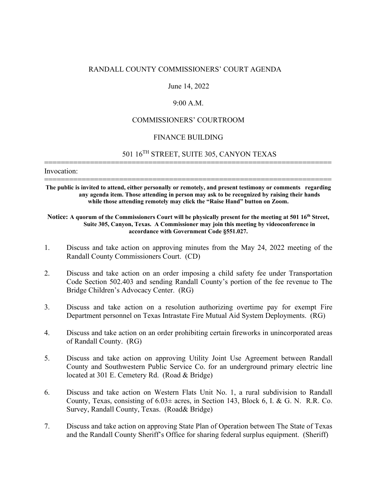### RANDALL COUNTY COMMISSIONERS' COURT AGENDA

#### June 14, 2022

## 9:00 A.M.

### COMMISSIONERS' COURTROOM

### FINANCE BUILDING

=====================================================================

# 501 16TH STREET, SUITE 305, CANYON TEXAS

Invocation:

===================================================================== **The public is invited to attend, either personally or remotely, and present testimony or comments regarding any agenda item. Those attending in person may ask to be recognized by raising their hands while those attending remotely may click the "Raise Hand" button on Zoom.**

#### Notice: A quorum of the Commissioners Court will be physically present for the meeting at 501 16<sup>th</sup> Street, **Suite 305, Canyon, Texas. A Commissioner may join this meeting by videoconference in accordance with Government Code §551.027.**

- 1. Discuss and take action on approving minutes from the May 24, 2022 meeting of the Randall County Commissioners Court. (CD)
- 2. Discuss and take action on an order imposing a child safety fee under Transportation Code Section 502.403 and sending Randall County's portion of the fee revenue to The Bridge Children's Advocacy Center. (RG)
- 3. Discuss and take action on a resolution authorizing overtime pay for exempt Fire Department personnel on Texas Intrastate Fire Mutual Aid System Deployments. (RG)
- 4. Discuss and take action on an order prohibiting certain fireworks in unincorporated areas of Randall County. (RG)
- 5. Discuss and take action on approving Utility Joint Use Agreement between Randall County and Southwestern Public Service Co. for an underground primary electric line located at 301 E. Cemetery Rd. (Road & Bridge)
- 6. Discuss and take action on Western Flats Unit No. 1, a rural subdivision to Randall County, Texas, consisting of  $6.03\pm$  acres, in Section 143, Block 6, I. & G. N. R.R. Co. Survey, Randall County, Texas. (Road& Bridge)
- 7. Discuss and take action on approving State Plan of Operation between The State of Texas and the Randall County Sheriff's Office for sharing federal surplus equipment. (Sheriff)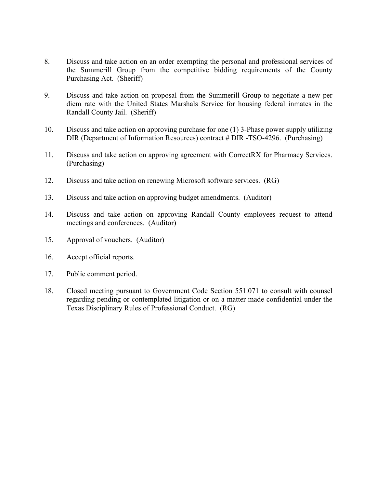- 8. Discuss and take action on an order exempting the personal and professional services of the Summerill Group from the competitive bidding requirements of the County Purchasing Act. (Sheriff)
- 9. Discuss and take action on proposal from the Summerill Group to negotiate a new per diem rate with the United States Marshals Service for housing federal inmates in the Randall County Jail. (Sheriff)
- 10. Discuss and take action on approving purchase for one (1) 3-Phase power supply utilizing DIR (Department of Information Resources) contract # DIR -TSO-4296. (Purchasing)
- 11. Discuss and take action on approving agreement with CorrectRX for Pharmacy Services. (Purchasing)
- 12. Discuss and take action on renewing Microsoft software services. (RG)
- 13. Discuss and take action on approving budget amendments. (Auditor)
- 14. Discuss and take action on approving Randall County employees request to attend meetings and conferences. (Auditor)
- 15. Approval of vouchers. (Auditor)
- 16. Accept official reports.
- 17. Public comment period.
- 18. Closed meeting pursuant to Government Code Section 551.071 to consult with counsel regarding pending or contemplated litigation or on a matter made confidential under the Texas Disciplinary Rules of Professional Conduct. (RG)